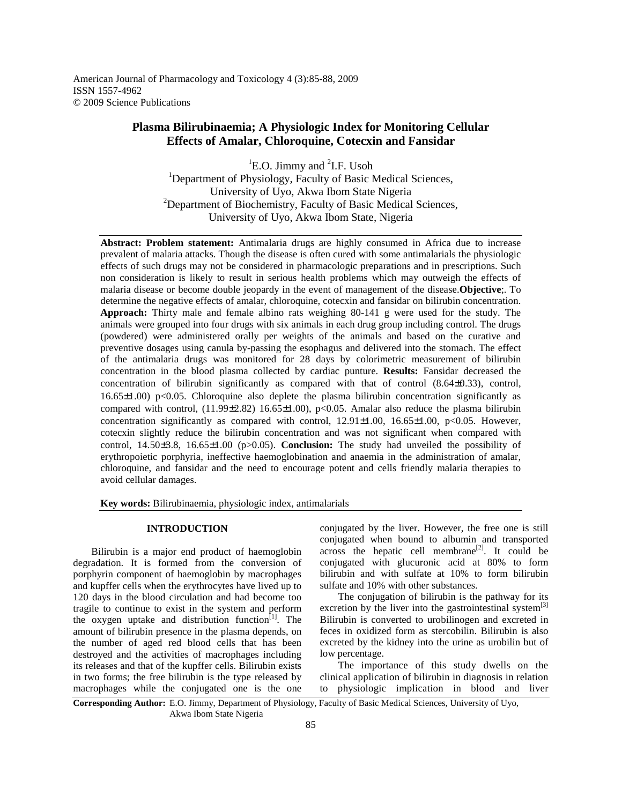American Journal of Pharmacology and Toxicology 4 (3):85-88, 2009 ISSN 1557-4962 © 2009 Science Publications

# **Plasma Bilirubinaemia; A Physiologic Index for Monitoring Cellular Effects of Amalar, Chloroquine, Cotecxin and Fansidar**

 ${}^{1}$ E.O. Jimmy and  ${}^{2}$ I.F. Usoh <sup>1</sup>Department of Physiology, Faculty of Basic Medical Sciences, University of Uyo, Akwa Ibom State Nigeria  $2^2$ Department of Biochemistry, Faculty of Basic Medical Sciences, University of Uyo, Akwa Ibom State, Nigeria

**Abstract: Problem statement:** Antimalaria drugs are highly consumed in Africa due to increase prevalent of malaria attacks. Though the disease is often cured with some antimalarials the physiologic effects of such drugs may not be considered in pharmacologic preparations and in prescriptions. Such non consideration is likely to result in serious health problems which may outweigh the effects of malaria disease or become double jeopardy in the event of management of the disease.**Objective**;. To determine the negative effects of amalar, chloroquine, cotecxin and fansidar on bilirubin concentration. **Approach:** Thirty male and female albino rats weighing 80-141 g were used for the study. The animals were grouped into four drugs with six animals in each drug group including control. The drugs (powdered) were administered orally per weights of the animals and based on the curative and preventive dosages using canula by-passing the esophagus and delivered into the stomach. The effect of the antimalaria drugs was monitored for 28 days by colorimetric measurement of bilirubin concentration in the blood plasma collected by cardiac punture. **Results:** Fansidar decreased the concentration of bilirubin significantly as compared with that of control (8.64±0.33), control, 16.65 $\pm$ 1.00) p<0.05. Chloroquine also deplete the plasma bilirubin concentration significantly as compared with control, (11.99±2.82) 16.65±1.00), p<0.05. Amalar also reduce the plasma bilirubin concentration significantly as compared with control,  $12.91\pm1.00$ ,  $16.65\pm1.00$ ,  $p<0.05$ . However, cotecxin slightly reduce the bilirubin concentration and was not significant when compared with control, 14.50±3.8, 16.65±1.00 (p>0.05). **Conclusion:** The study had unveiled the possibility of erythropoietic porphyria, ineffective haemoglobination and anaemia in the administration of amalar, chloroquine, and fansidar and the need to encourage potent and cells friendly malaria therapies to avoid cellular damages.

**Key words:** Bilirubinaemia, physiologic index, antimalarials

# **INTRODUCTION**

 Bilirubin is a major end product of haemoglobin degradation. It is formed from the conversion of porphyrin component of haemoglobin by macrophages and kupffer cells when the erythrocytes have lived up to 120 days in the blood circulation and had become too tragile to continue to exist in the system and perform the oxygen uptake and distribution function<sup>[1]</sup>. The amount of bilirubin presence in the plasma depends, on the number of aged red blood cells that has been destroyed and the activities of macrophages including its releases and that of the kupffer cells. Bilirubin exists in two forms; the free bilirubin is the type released by macrophages while the conjugated one is the one

conjugated by the liver. However, the free one is still conjugated when bound to albumin and transported across the hepatic cell membrane<sup>[2]</sup>. It could be conjugated with glucuronic acid at 80% to form bilirubin and with sulfate at 10% to form bilirubin sulfate and 10% with other substances.

 The conjugation of bilirubin is the pathway for its excretion by the liver into the gastrointestinal system<sup>[3]</sup> Bilirubin is converted to urobilinogen and excreted in feces in oxidized form as stercobilin. Bilirubin is also excreted by the kidney into the urine as urobilin but of low percentage.

 The importance of this study dwells on the clinical application of bilirubin in diagnosis in relation to physiologic implication in blood and liver

**Corresponding Author:** E.O. Jimmy, Department of Physiology, Faculty of Basic Medical Sciences, University of Uyo, Akwa Ibom State Nigeria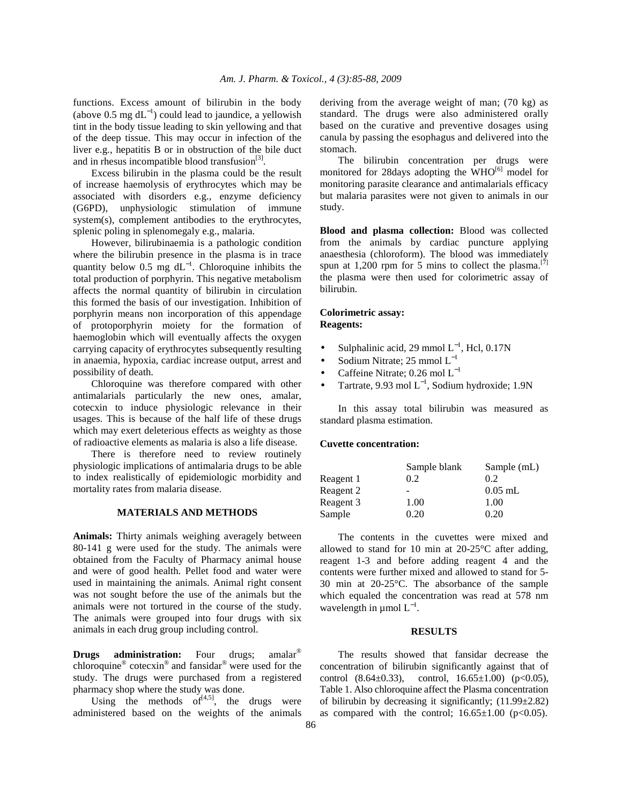functions. Excess amount of bilirubin in the body (above 0.5 mg  $dL^{-1}$ ) could lead to jaundice, a yellowish tint in the body tissue leading to skin yellowing and that of the deep tissue. This may occur in infection of the liver e.g., hepatitis B or in obstruction of the bile duct and in rhesus incompatible blood transfusion $^{[3]}$ .

 Excess bilirubin in the plasma could be the result of increase haemolysis of erythrocytes which may be associated with disorders e.g., enzyme deficiency (G6PD), unphysiologic stimulation of immune system(s), complement antibodies to the erythrocytes, splenic poling in splenomegaly e.g., malaria.

 However, bilirubinaemia is a pathologic condition where the bilirubin presence in the plasma is in trace quantity below 0.5 mg  $dL^{-1}$ . Chloroquine inhibits the total production of porphyrin. This negative metabolism affects the normal quantity of bilirubin in circulation this formed the basis of our investigation. Inhibition of porphyrin means non incorporation of this appendage of protoporphyrin moiety for the formation of haemoglobin which will eventually affects the oxygen carrying capacity of erythrocytes subsequently resulting in anaemia, hypoxia, cardiac increase output, arrest and possibility of death.

 Chloroquine was therefore compared with other antimalarials particularly the new ones, amalar, cotecxin to induce physiologic relevance in their usages. This is because of the half life of these drugs which may exert deleterious effects as weighty as those of radioactive elements as malaria is also a life disease.

There is therefore need to review routinely physiologic implications of antimalaria drugs to be able to index realistically of epidemiologic morbidity and mortality rates from malaria disease.

# **MATERIALS AND METHODS**

**Animals:** Thirty animals weighing averagely between 80-141 g were used for the study. The animals were obtained from the Faculty of Pharmacy animal house and were of good health. Pellet food and water were used in maintaining the animals. Animal right consent was not sought before the use of the animals but the animals were not tortured in the course of the study. The animals were grouped into four drugs with six animals in each drug group including control.

**Drugs administration:** Four drugs; amalar<sup>®</sup> chloroquine® cotecxin® and fansidar® were used for the study. The drugs were purchased from a registered pharmacy shop where the study was done.

Using the methods  $of<sup>{[4,5]}</sup>$ , the drugs were administered based on the weights of the animals deriving from the average weight of man; (70 kg) as standard. The drugs were also administered orally based on the curative and preventive dosages using canula by passing the esophagus and delivered into the stomach.

 The bilirubin concentration per drugs were monitored for 28 days adopting the  $WHO^{[6]}$  model for monitoring parasite clearance and antimalarials efficacy but malaria parasites were not given to animals in our study.

**Blood and plasma collection:** Blood was collected from the animals by cardiac puncture applying anaesthesia (chloroform). The blood was immediately spun at 1,200 rpm for 5 mins to collect the plasma.<sup>[7]</sup> the plasma were then used for colorimetric assay of bilirubin.

## **Colorimetric assay: Reagents:**

- Sulphalinic acid, 29 mmol  $L^{-1}$ , Hcl, 0.17N
- Sodium Nitrate; 25 mmol  $L^{-1}$
- Caffeine Nitrate; 0.26 mol  $L^{-1}$
- Tartrate, 9.93 mol  $L^{-1}$ , Sodium hydroxide; 1.9N

 In this assay total bilirubin was measured as standard plasma estimation.

#### **Cuvette concentration:**

|           | Sample blank | Sample (mL) |
|-----------|--------------|-------------|
| Reagent 1 | 0.2          | 0.2         |
| Reagent 2 |              | $0.05$ mL   |
| Reagent 3 | 1.00         | 1.00        |
| Sample    | 0.20         | 0.20        |

 The contents in the cuvettes were mixed and allowed to stand for 10 min at 20-25°C after adding, reagent 1-3 and before adding reagent 4 and the contents were further mixed and allowed to stand for 5- 30 min at 20-25°C. The absorbance of the sample which equaled the concentration was read at 578 nm wavelength in  $\mu$ mol  $L^{-1}$ .

## **RESULTS**

 The results showed that fansidar decrease the concentration of bilirubin significantly against that of control  $(8.64\pm0.33)$ , control,  $16.65\pm1.00$   $(p<0.05)$ , Table 1. Also chloroquine affect the Plasma concentration of bilirubin by decreasing it significantly; (11.99±2.82) as compared with the control;  $16.65\pm1.00$  (p<0.05).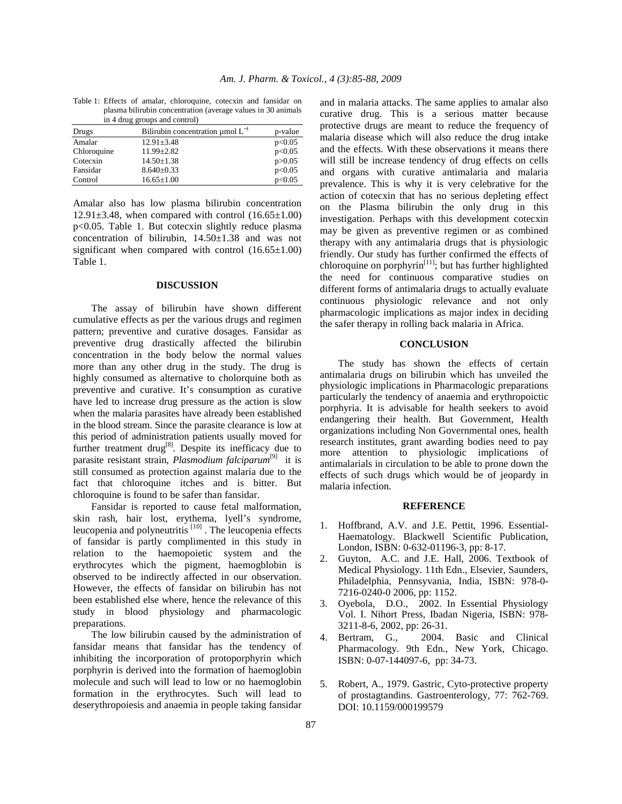| in 4 drug groups and control) |                                            |          |  |
|-------------------------------|--------------------------------------------|----------|--|
| Drugs                         | Bilirubin concentration $\mu$ mol $L^{-1}$ | p-value  |  |
| Amalar                        | $12.91 \pm 3.48$                           | p<0.05   |  |
| Chloroquine                   | $11.99 \pm 2.82$                           | p<0.05   |  |
| Cotecxin                      | $14.50 \pm 1.38$                           | p > 0.05 |  |

Fansidar 8.640±0.33 p<0.05<br>Control 16.65±1.00 p<0.05

 $Control$   $16.65 \pm 1.00$ 

Table 1: Effects of amalar, chloroquine, cotecxin and fansidar on plasma bilirubin concentration (average values in 30 animals

Amalar also has low plasma bilirubin concentration  $12.91\pm3.48$ , when compared with control  $(16.65\pm1.00)$ p<0.05. Table 1. But cotecxin slightly reduce plasma concentration of bilirubin, 14.50±1.38 and was not significant when compared with control  $(16.65\pm1.00)$ Table 1.

## **DISCUSSION**

 The assay of bilirubin have shown different cumulative effects as per the various drugs and regimen pattern; preventive and curative dosages. Fansidar as preventive drug drastically affected the bilirubin concentration in the body below the normal values more than any other drug in the study. The drug is highly consumed as alternative to cholorquine both as preventive and curative. It's consumption as curative have led to increase drug pressure as the action is slow when the malaria parasites have already been established in the blood stream. Since the parasite clearance is low at this period of administration patients usually moved for further treatment drug<sup>[8]</sup>. Despite its inefficacy due to parasite resistant strain, *Plasmodium falciparum*[9] it is still consumed as protection against malaria due to the fact that chloroquine itches and is bitter. But chloroquine is found to be safer than fansidar.

 Fansidar is reported to cause fetal malformation, skin rash, hair lost, erythema, lyell's syndrome, leucopenia and polyneutritis  $[10]$ . The leucopenia effects of fansidar is partly complimented in this study in relation to the haemopoietic system and the erythrocytes which the pigment, haemogblobin is observed to be indirectly affected in our observation. However, the effects of fansidar on bilirubin has not been established else where, hence the relevance of this study in blood physiology and pharmacologic preparations.

 The low bilirubin caused by the administration of fansidar means that fansidar has the tendency of inhibiting the incorporation of protoporphyrin which porphyrin is derived into the formation of haemoglobin molecule and such will lead to low or no haemoglobin formation in the erythrocytes. Such will lead to deserythropoiesis and anaemia in people taking fansidar

and in malaria attacks. The same applies to amalar also curative drug. This is a serious matter because protective drugs are meant to reduce the frequency of malaria disease which will also reduce the drug intake and the effects. With these observations it means there will still be increase tendency of drug effects on cells and organs with curative antimalaria and malaria prevalence. This is why it is very celebrative for the action of cotecxin that has no serious depleting effect on the Plasma bilirubin the only drug in this investigation. Perhaps with this development cotecxin may be given as preventive regimen or as combined therapy with any antimalaria drugs that is physiologic friendly. Our study has further confirmed the effects of chloroquine on porphyrin<sup>[11]</sup>; but has further highlighted the need for continuous comparative studies on different forms of antimalaria drugs to actually evaluate continuous physiologic relevance and not only pharmacologic implications as major index in deciding the safer therapy in rolling back malaria in Africa.

#### **CONCLUSION**

 The study has shown the effects of certain antimalaria drugs on bilirubin which has unveiled the physiologic implications in Pharmacologic preparations particularly the tendency of anaemia and erythropoictic porphyria. It is advisable for health seekers to avoid endangering their health. But Government, Health organizations including Non Governmental ones, health research institutes, grant awarding bodies need to pay more attention to physiologic implications of antimalarials in circulation to be able to prone down the effects of such drugs which would be of jeopardy in malaria infection.

#### **REFERENCE**

- 1. Hoffbrand, A.V. and J.E. Pettit, 1996. Essential-Haematology. Blackwell Scientific Publication, London, ISBN: 0-632-01196-3, pp: 8-17.
- 2. Guyton, A.C. and J.E. Hall, 2006. Textbook of Medical Physiology. 11th Edn., Elsevier, Saunders, Philadelphia, Pennsyvania, India, ISBN: 978-0- 7216-0240-0 2006, pp: 1152.
- 3. Oyebola, D.O., 2002. In Essential Physiology Vol. I. Nihort Press, Ibadan Nigeria, ISBN: 978- 3211-8-6, 2002, pp: 26-31.
- 4. Bertram, G., 2004. Basic and Clinical Pharmacology. 9th Edn., New York, Chicago. ISBN: 0-07-144097-6, pp: 34-73.
- 5. Robert, A., 1979. Gastric, Cyto-protective property of prostagtandins. Gastroenterology, 77: 762-769. DOI: 10.1159/000199579